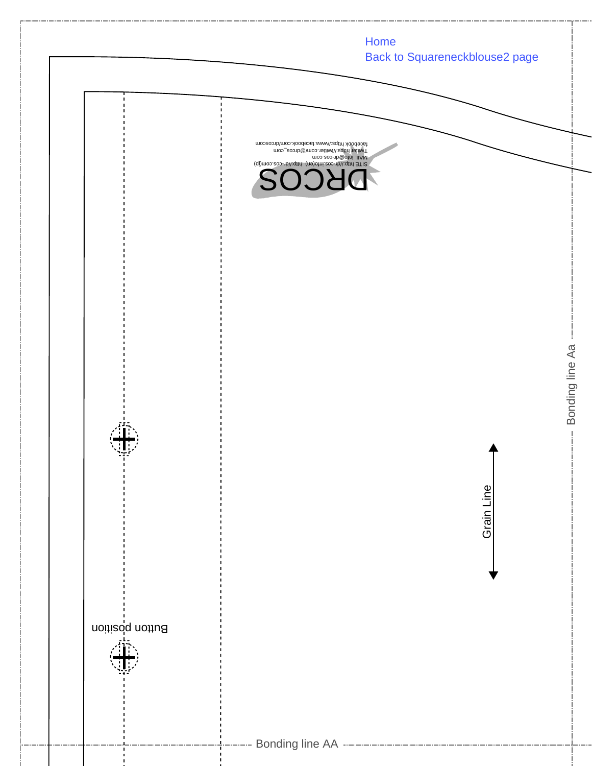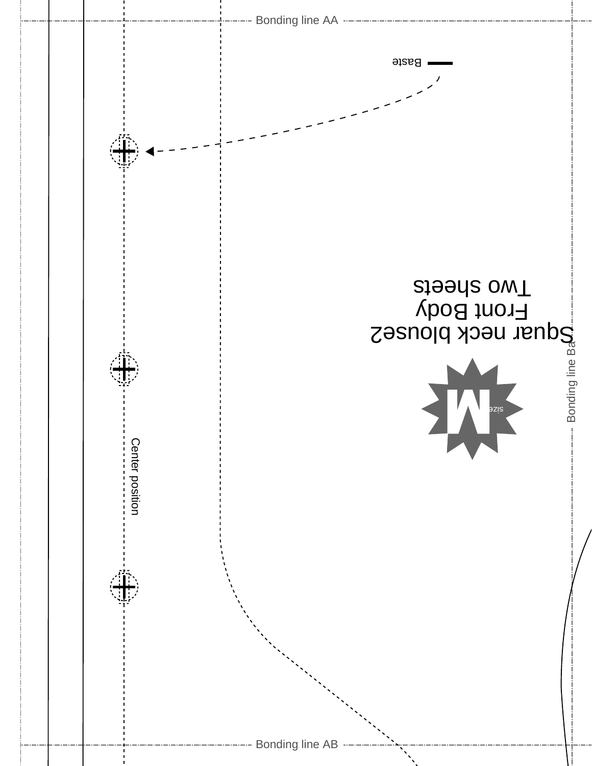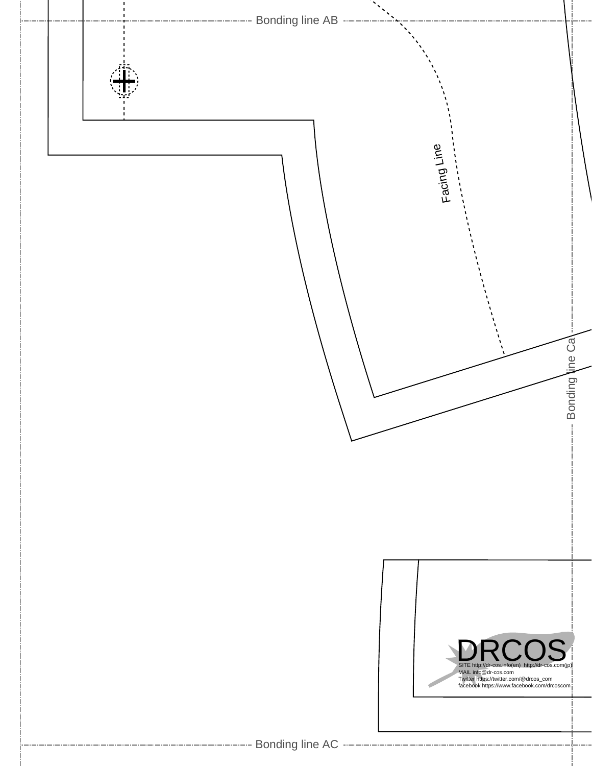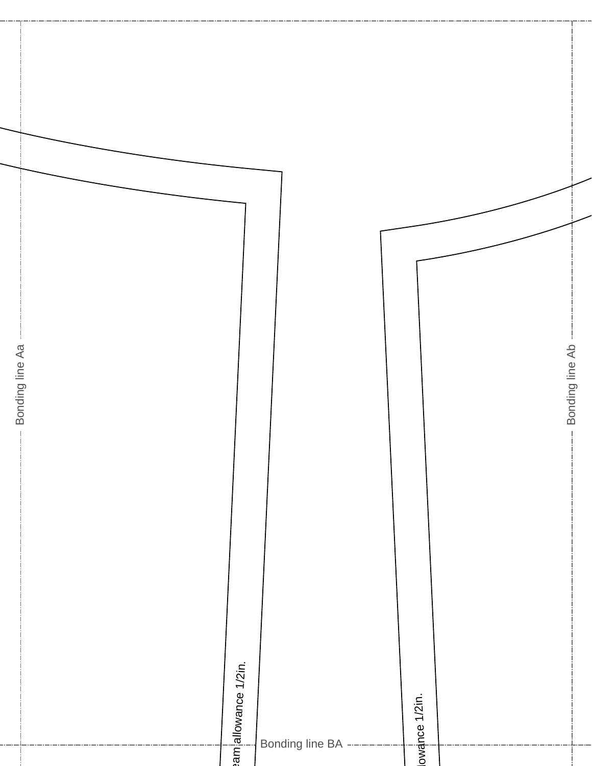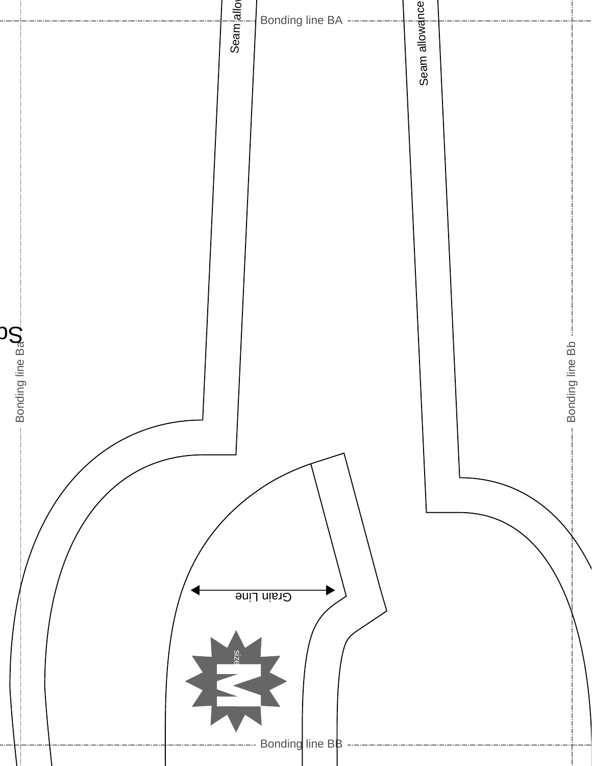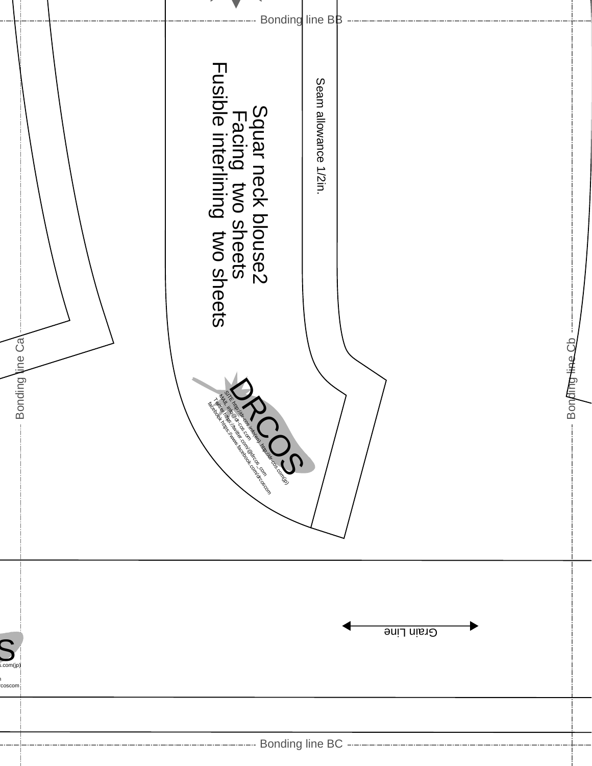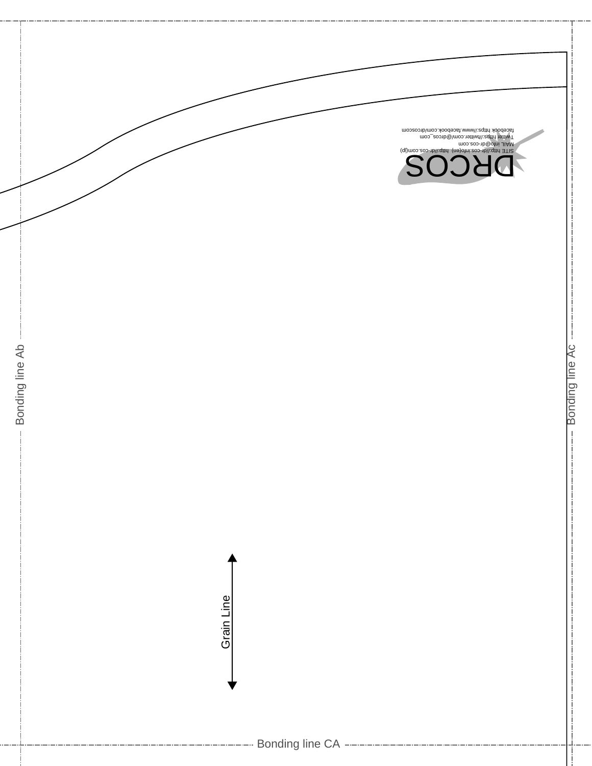

Bonding line Ac

Bonding line Ac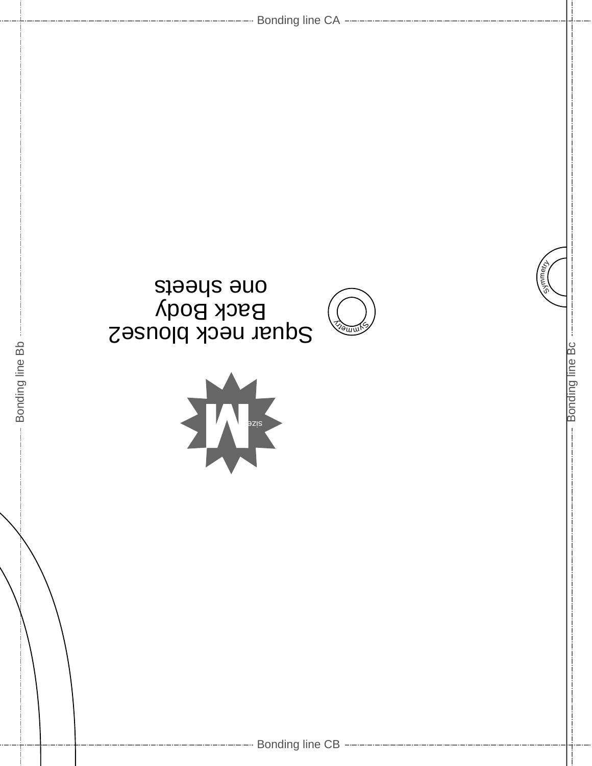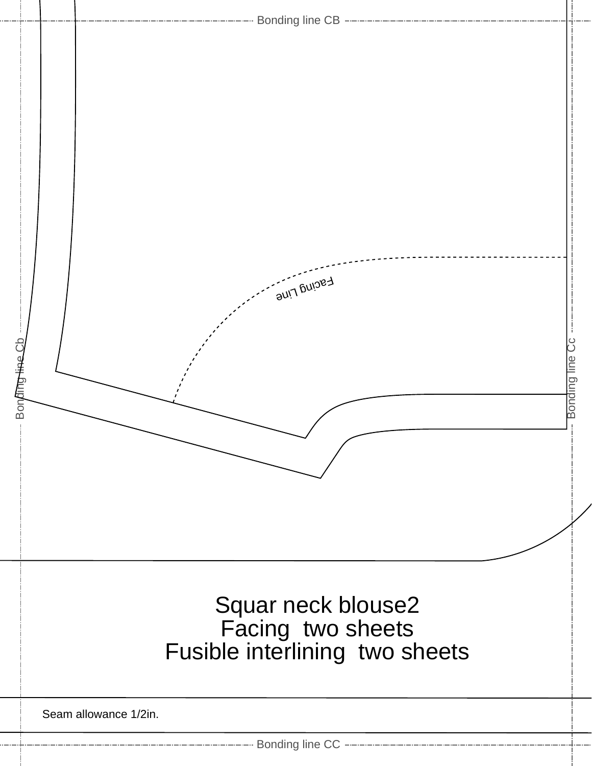